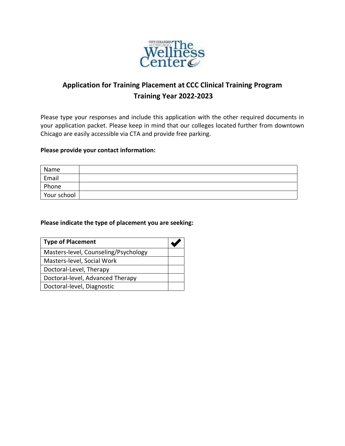

# **Application for Training Placement at CCC Clinical Training Program Training Year 2022-2023**

Please type your responses and include this application with the other required documents in your application packet. Please keep in mind that our colleges located further from downtown Chicago are easily accessible via CTA and provide free parking.

## **Please provide your contact information:**

| Name        |  |
|-------------|--|
| Email       |  |
| Phone       |  |
| Your school |  |

### **Please indicate the type of placement you are seeking:**

| <b>Type of Placement</b>             |  |
|--------------------------------------|--|
| Masters-level, Counseling/Psychology |  |
| Masters-level, Social Work           |  |
| Doctoral-Level, Therapy              |  |
| Doctoral-level, Advanced Therapy     |  |
| Doctoral-level, Diagnostic           |  |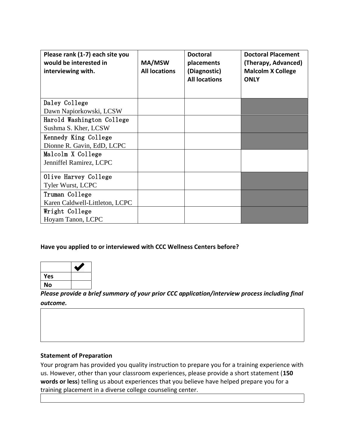| Please rank (1-7) each site you<br>would be interested in<br>interviewing with. | MA/MSW<br><b>All locations</b> | <b>Doctoral</b><br>placements<br>(Diagnostic)<br><b>All locations</b> | <b>Doctoral Placement</b><br>(Therapy, Advanced)<br><b>Malcolm X College</b><br><b>ONLY</b> |
|---------------------------------------------------------------------------------|--------------------------------|-----------------------------------------------------------------------|---------------------------------------------------------------------------------------------|
| Daley College                                                                   |                                |                                                                       |                                                                                             |
| Dawn Napiorkowski, LCSW                                                         |                                |                                                                       |                                                                                             |
| Harold Washington College                                                       |                                |                                                                       |                                                                                             |
| Sushma S. Kher, LCSW                                                            |                                |                                                                       |                                                                                             |
| Kennedy King College                                                            |                                |                                                                       |                                                                                             |
| Dionne R. Gavin, EdD, LCPC                                                      |                                |                                                                       |                                                                                             |
| Malcolm X College                                                               |                                |                                                                       |                                                                                             |
| Jenniffel Ramirez, LCPC                                                         |                                |                                                                       |                                                                                             |
| Olive Harvey College                                                            |                                |                                                                       |                                                                                             |
| <b>Tyler Wurst, LCPC</b>                                                        |                                |                                                                       |                                                                                             |
| Truman College                                                                  |                                |                                                                       |                                                                                             |
| Karen Caldwell-Littleton, LCPC                                                  |                                |                                                                       |                                                                                             |
| Wright College                                                                  |                                |                                                                       |                                                                                             |
| Hoyam Tanon, LCPC                                                               |                                |                                                                       |                                                                                             |

#### **Have you applied to or interviewed with CCC Wellness Centers before?**

| <b>Yes</b> |  |
|------------|--|
| No         |  |

*Please provide a brief summary of your prior CCC application/interview process including final outcome.* 

#### **Statement of Preparation**

Your program has provided you quality instruction to prepare you for a training experience with us. However, other than your classroom experiences, please provide a short statement (**150 words or less**) telling us about experiences that you believe have helped prepare you for a training placement in a diverse college counseling center.